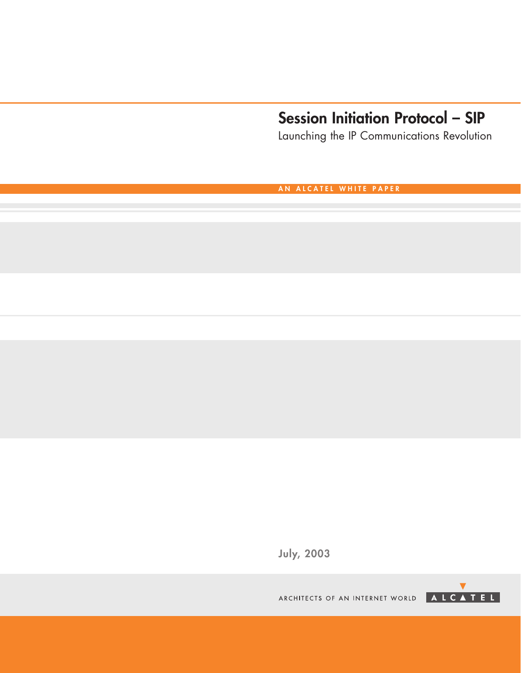# **Session Initiation Protocol – SIP**

Launching the IP Communications Revolution

**AN ALCATEL WHITE PAPER**

**July, 2003**

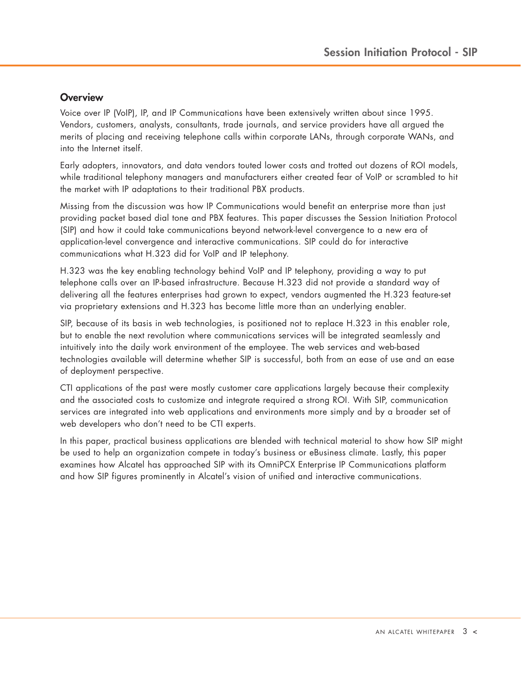# <span id="page-2-0"></span>**Overview**

Voice over IP (VoIP), IP, and IP Communications have been extensively written about since 1995. Vendors, customers, analysts, consultants, trade journals, and service providers have all argued the merits of placing and receiving telephone calls within corporate LANs, through corporate WANs, and into the Internet itself.

Early adopters, innovators, and data vendors touted lower costs and trotted out dozens of ROI models, while traditional telephony managers and manufacturers either created fear of VoIP or scrambled to hit the market with IP adaptations to their traditional PBX products.

Missing from the discussion was how IP Communications would benefit an enterprise more than just providing packet based dial tone and PBX features. This paper discusses the Session Initiation Protocol (SIP) and how it could take communications beyond network-level convergence to a new era of application-level convergence and interactive communications. SIP could do for interactive communications what H.323 did for VoIP and IP telephony.

H.323 was the key enabling technology behind VoIP and IP telephony, providing a way to put telephone calls over an IP-based infrastructure. Because H.323 did not provide a standard way of delivering all the features enterprises had grown to expect, vendors augmented the H.323 feature-set via proprietary extensions and H.323 has become little more than an underlying enabler.

SIP, because of its basis in web technologies, is positioned not to replace H.323 in this enabler role, but to enable the next revolution where communications services will be integrated seamlessly and intuitively into the daily work environment of the employee. The web services and web-based technologies available will determine whether SIP is successful, both from an ease of use and an ease of deployment perspective.

CTI applications of the past were mostly customer care applications largely because their complexity and the associated costs to customize and integrate required a strong ROI. With SIP, communication services are integrated into web applications and environments more simply and by a broader set of web developers who don't need to be CTI experts.

In this paper, practical business applications are blended with technical material to show how SIP might be used to help an organization compete in today's business or eBusiness climate. Lastly, this paper examines how Alcatel has approached SIP with its OmniPCX Enterprise IP Communications platform and how SIP figures prominently in Alcatel's vision of unified and interactive communications.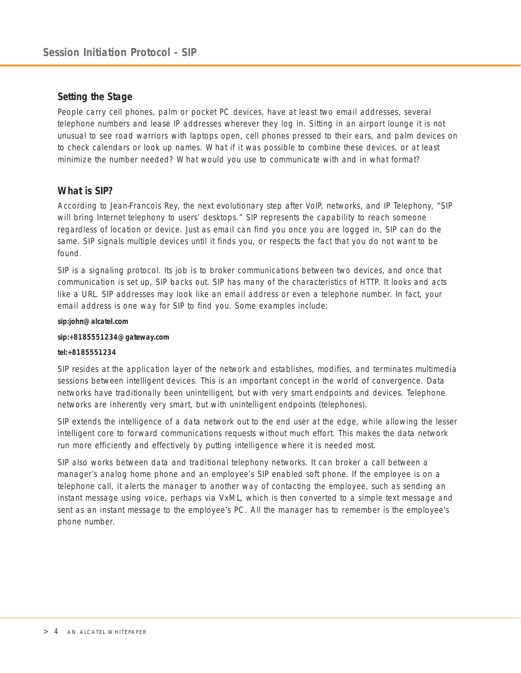# <span id="page-3-0"></span>**Setting the Stage**

People carry cell phones, palm or pocket PC devices, have at least two email addresses, several telephone numbers and lease IP addresses wherever they log in. Sitting in an airport lounge it is not unusual to see road warriors with laptops open, cell phones pressed to their ears, and palm devices on to check calendars or look up names. What if it was possible to combine these devices, or at least minimize the number needed? What would you use to communicate with and in what format?

# **What is SIP?**

According to Jean-Francois Rey, the next evolutionary step after VoIP, networks, and IP Telephony, "SIP will bring Internet telephony to users' desktops." SIP represents the capability to reach someone regardless of location or device. Just as email can find you once you are logged in, SIP can do the same. SIP signals multiple devices until it finds you, or respects the fact that you do not want to be found.

SIP is a signaling protocol. Its job is to broker communications between two devices, and once that communication is set up, SIP backs out. SIP has many of the characteristics of HTTP. It looks and acts like a URL. SIP addresses may look like an email address or even a telephone number. In fact, your email address is one way for SIP to find you. Some examples include:

#### **sip:john@alcatel.com**

#### **sip:+8185551234@gateway.com**

#### **tel:+8185551234**

SIP resides at the application layer of the network and establishes, modifies, and terminates multimedia sessions between intelligent devices. This is an important concept in the world of convergence. Data networks have traditionally been unintelligent, but with very smart endpoints and devices. Telephone networks are inherently very smart, but with unintelligent endpoints (telephones).

SIP extends the intelligence of a data network out to the end user at the edge, while allowing the lesser intelligent core to forward communications requests without much effort. This makes the data network run more efficiently and effectively by putting intelligence where it is needed most.

SIP also works between data and traditional telephony networks. It can broker a call between a manager's analog home phone and an employee's SIP enabled soft phone. If the employee is on a telephone call, it alerts the manager to another way of contacting the employee, such as sending an instant message using voice, perhaps via VxML, which is then converted to a simple text message and sent as an instant message to the employee's PC. All the manager has to remember is the employee's phone number.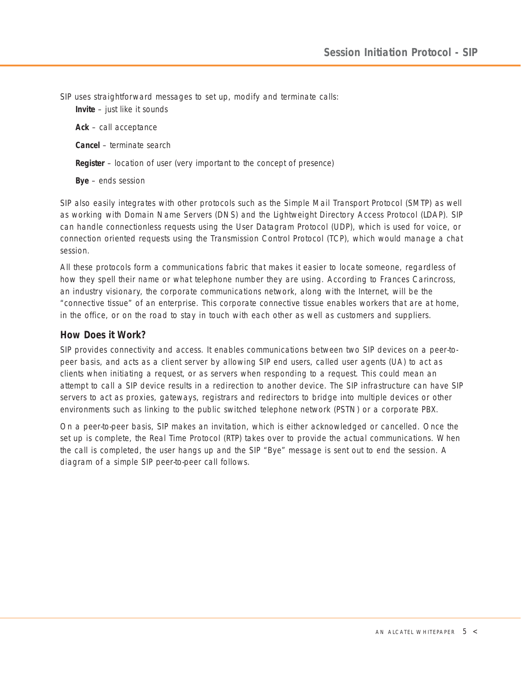<span id="page-4-0"></span>SIP uses straightforward messages to set up, modify and terminate calls:

**Invite** – just like it sounds

**Ack** – call acceptance

**Cancel** – terminate search

**Register** – location of user (very important to the concept of presence)

**Bye** – ends session

SIP also easily integrates with other protocols such as the Simple Mail Transport Protocol (SMTP) as well as working with Domain Name Servers (DNS) and the Lightweight Directory Access Protocol (LDAP). SIP can handle connectionless requests using the User Datagram Protocol (UDP), which is used for voice, or connection oriented requests using the Transmission Control Protocol (TCP), which would manage a chat session.

All these protocols form a communications fabric that makes it easier to locate someone, regardless of how they spell their name or what telephone number they are using. According to Frances Carincross, an industry visionary, the corporate communications network, along with the Internet, will be the "connective tissue" of an enterprise. This corporate connective tissue enables workers that are at home, in the office, or on the road to stay in touch with each other as well as customers and suppliers.

# **How Does it Work?**

SIP provides connectivity and access. It enables communications between two SIP devices on a peer-topeer basis, and acts as a client server by allowing SIP end users, called user agents (UA) to act as clients when initiating a request, or as servers when responding to a request. This could mean an attempt to call a SIP device results in a redirection to another device. The SIP infrastructure can have SIP servers to act as proxies, gateways, registrars and redirectors to bridge into multiple devices or other environments such as linking to the public switched telephone network (PSTN) or a corporate PBX.

On a peer-to-peer basis, SIP makes an invitation, which is either acknowledged or cancelled. Once the set up is complete, the Real Time Protocol (RTP) takes over to provide the actual communications. When the call is completed, the user hangs up and the SIP "Bye" message is sent out to end the session. A diagram of a simple SIP peer-to-peer call follows.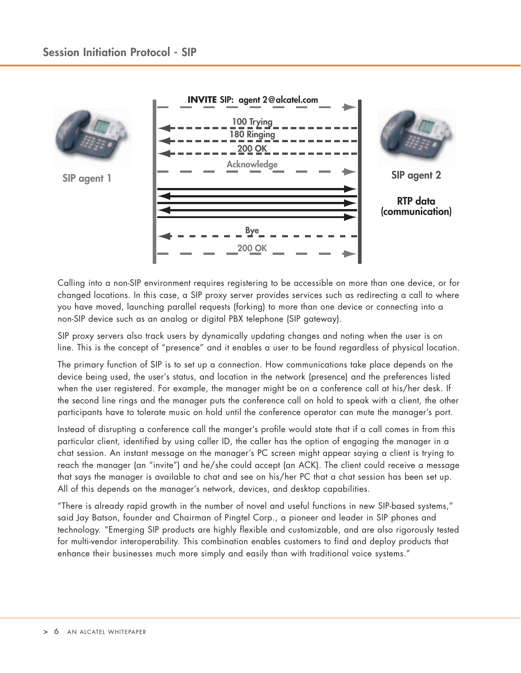

Calling into a non-SIP environment requires registering to be accessible on more than one device, or for changed locations. In this case, a SIP proxy server provides services such as redirecting a call to where you have moved, launching parallel requests (forking) to more than one device or connecting into a non-SIP device such as an analog or digital PBX telephone (SIP gateway).

SIP proxy servers also track users by dynamically updating changes and noting when the user is on line. This is the concept of "presence" and it enables a user to be found regardless of physical location.

The primary function of SIP is to set up a connection. How communications take place depends on the device being used, the user's status, and location in the network (presence) and the preferences listed when the user registered. For example, the manager might be on a conference call at his/her desk. If the second line rings and the manager puts the conference call on hold to speak with a client, the other participants have to tolerate music on hold until the conference operator can mute the manager's port.

Instead of disrupting a conference call the manger's profile would state that if a call comes in from this particular client, identified by using caller ID, the caller has the option of engaging the manager in a chat session. An instant message on the manager's PC screen might appear saying a client is trying to reach the manager (an "invite") and he/she could accept (an ACK). The client could receive a message that says the manager is available to chat and see on his/her PC that a chat session has been set up. All of this depends on the manager's network, devices, and desktop capabilities.

"There is already rapid growth in the number of novel and useful functions in new SIP-based systems," said Jay Batson, founder and Chairman of Pingtel Corp., a pioneer and leader in SIP phones and technology. "Emerging SIP products are highly flexible and customizable, and are also rigorously tested for multi-vendor interoperability. This combination enables customers to find and deploy products that enhance their businesses much more simply and easily than with traditional voice systems."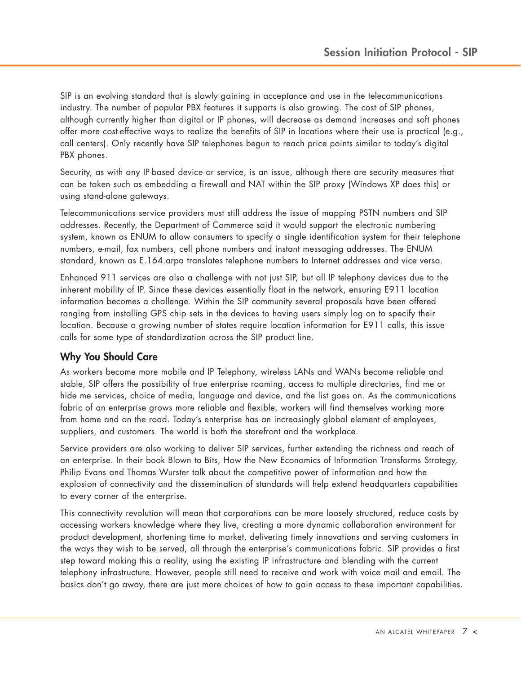<span id="page-6-0"></span>SIP is an evolving standard that is slowly gaining in acceptance and use in the telecommunications industry. The number of popular PBX features it supports is also growing. The cost of SIP phones, although currently higher than digital or IP phones, will decrease as demand increases and soft phones offer more cost-effective ways to realize the benefits of SIP in locations where their use is practical (e.g., call centers). Only recently have SIP telephones begun to reach price points similar to today's digital PBX phones.

Security, as with any IP-based device or service, is an issue, although there are security measures that can be taken such as embedding a firewall and NAT within the SIP proxy (Windows XP does this) or using stand-alone gateways.

Telecommunications service providers must still address the issue of mapping PSTN numbers and SIP addresses. Recently, the Department of Commerce said it would support the electronic numbering system, known as ENUM to allow consumers to specify a single identification system for their telephone numbers, e-mail, fax numbers, cell phone numbers and instant messaging addresses. The ENUM standard, known as E.164.arpa translates telephone numbers to Internet addresses and vice versa.

Enhanced 911 services are also a challenge with not just SIP, but all IP telephony devices due to the inherent mobility of IP. Since these devices essentially float in the network, ensuring E911 location information becomes a challenge. Within the SIP community several proposals have been offered ranging from installing GPS chip sets in the devices to having users simply log on to specify their location. Because a growing number of states require location information for E911 calls, this issue calls for some type of standardization across the SIP product line.

# **Why You Should Care**

As workers become more mobile and IP Telephony, wireless LANs and WANs become reliable and stable, SIP offers the possibility of true enterprise roaming, access to multiple directories, find me or hide me services, choice of media, language and device, and the list goes on. As the communications fabric of an enterprise grows more reliable and flexible, workers will find themselves working more from home and on the road. Today's enterprise has an increasingly global element of employees, suppliers, and customers. The world is both the storefront and the workplace.

Service providers are also working to deliver SIP services, further extending the richness and reach of an enterprise. In their book Blown to Bits, How the New Economics of Information Transforms Strategy, Philip Evans and Thomas Wurster talk about the competitive power of information and how the explosion of connectivity and the dissemination of standards will help extend headquarters capabilities to every corner of the enterprise.

This connectivity revolution will mean that corporations can be more loosely structured, reduce costs by accessing workers knowledge where they live, creating a more dynamic collaboration environment for product development, shortening time to market, delivering timely innovations and serving customers in the ways they wish to be served, all through the enterprise's communications fabric. SIP provides a first step toward making this a reality, using the existing IP infrastructure and blending with the current telephony infrastructure. However, people still need to receive and work with voice mail and email. The basics don't go away, there are just more choices of how to gain access to these important capabilities.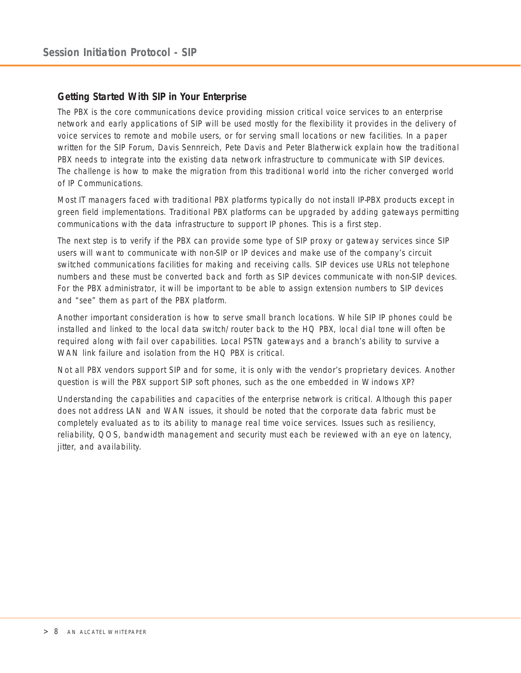# <span id="page-7-0"></span>**Getting Started With SIP in Your Enterprise**

The PBX is the core communications device providing mission critical voice services to an enterprise network and early applications of SIP will be used mostly for the flexibility it provides in the delivery of voice services to remote and mobile users, or for serving small locations or new facilities. In a paper written for the SIP Forum, Davis Sennreich, Pete Davis and Peter Blatherwick explain how the traditional PBX needs to integrate into the existing data network infrastructure to communicate with SIP devices. The challenge is how to make the migration from this traditional world into the richer converged world of IP Communications.

Most IT managers faced with traditional PBX platforms typically do not install IP-PBX products except in green field implementations. Traditional PBX platforms can be upgraded by adding gateways permitting communications with the data infrastructure to support IP phones. This is a first step.

The next step is to verify if the PBX can provide some type of SIP proxy or gateway services since SIP users will want to communicate with non-SIP or IP devices and make use of the company's circuit switched communications facilities for making and receiving calls. SIP devices use URLs not telephone numbers and these must be converted back and forth as SIP devices communicate with non-SIP devices. For the PBX administrator, it will be important to be able to assign extension numbers to SIP devices and "see" them as part of the PBX platform.

Another important consideration is how to serve small branch locations. While SIP IP phones could be installed and linked to the local data switch/router back to the HQ PBX, local dial tone will often be required along with fail over capabilities. Local PSTN gateways and a branch's ability to survive a WAN link failure and isolation from the HQ PBX is critical.

Not all PBX vendors support SIP and for some, it is only with the vendor's proprietary devices. Another question is will the PBX support SIP soft phones, such as the one embedded in Windows XP?

Understanding the capabilities and capacities of the enterprise network is critical. Although this paper does not address LAN and WAN issues, it should be noted that the corporate data fabric must be completely evaluated as to its ability to manage real time voice services. Issues such as resiliency, reliability, QOS, bandwidth management and security must each be reviewed with an eye on latency, jitter, and availability.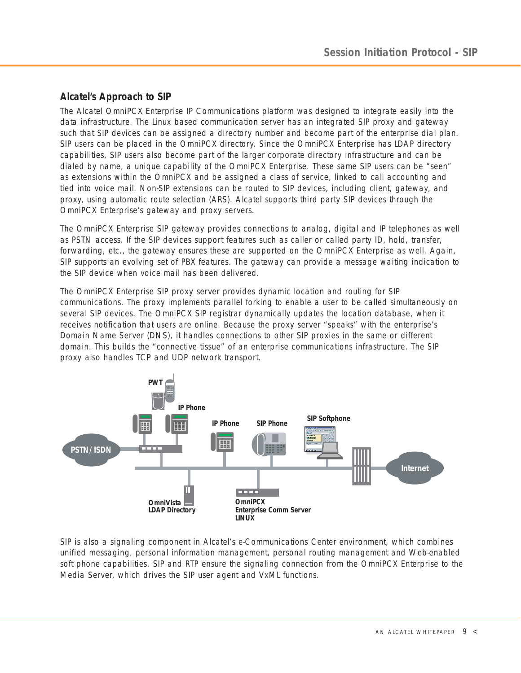# <span id="page-8-0"></span>**Alcatel's Approach to SIP**

The Alcatel OmniPCX Enterprise IP Communications platform was designed to integrate easily into the data infrastructure. The Linux based communication server has an integrated SIP proxy and gateway such that SIP devices can be assigned a directory number and become part of the enterprise dial plan. SIP users can be placed in the OmniPCX directory. Since the OmniPCX Enterprise has LDAP directory capabilities, SIP users also become part of the larger corporate directory infrastructure and can be dialed by name, a unique capability of the OmniPCX Enterprise. These same SIP users can be "seen" as extensions within the OmniPCX and be assigned a class of service, linked to call accounting and tied into voice mail. Non-SIP extensions can be routed to SIP devices, including client, gateway, and proxy, using automatic route selection (ARS). Alcatel supports third party SIP devices through the OmniPCX Enterprise's gateway and proxy servers.

The OmniPCX Enterprise SIP gateway provides connections to analog, digital and IP telephones as well as PSTN access. If the SIP devices support features such as caller or called party ID, hold, transfer, forwarding, etc., the gateway ensures these are supported on the OmniPCX Enterprise as well. Again, SIP supports an evolving set of PBX features. The gateway can provide a message waiting indication to the SIP device when voice mail has been delivered.

The OmniPCX Enterprise SIP proxy server provides dynamic location and routing for SIP communications. The proxy implements parallel forking to enable a user to be called simultaneously on several SIP devices. The OmniPCX SIP registrar dynamically updates the location database, when it receives notification that users are online. Because the proxy server "speaks" with the enterprise's Domain Name Server (DNS), it handles connections to other SIP proxies in the same or different domain. This builds the "connective tissue" of an enterprise communications infrastructure. The SIP proxy also handles TCP and UDP network transport.



SIP is also a signaling component in Alcatel's e-Communications Center environment, which combines unified messaging, personal information management, personal routing management and Web-enabled soft phone capabilities. SIP and RTP ensure the signaling connection from the OmniPCX Enterprise to the Media Server, which drives the SIP user agent and VxML functions.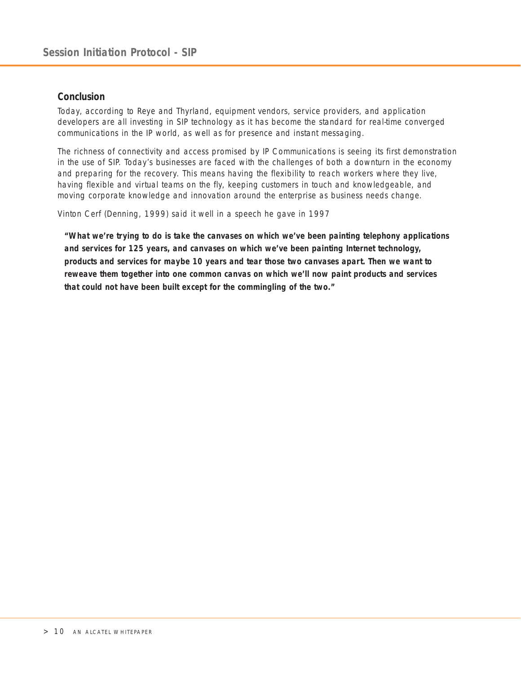# <span id="page-9-0"></span>**Conclusion**

Today, according to Reye and Thyrland, equipment vendors, service providers, and application developers are all investing in SIP technology as it has become the standard for real-time converged communications in the IP world, as well as for presence and instant messaging.

The richness of connectivity and access promised by IP Communications is seeing its first demonstration in the use of SIP. Today's businesses are faced with the challenges of both a downturn in the economy and preparing for the recovery. This means having the flexibility to reach workers where they live, having flexible and virtual teams on the fly, keeping customers in touch and knowledgeable, and moving corporate knowledge and innovation around the enterprise as business needs change.

Vinton Cerf (Denning, 1999) said it well in a speech he gave in 1997

*"What we're trying to do is take the canvases on which we've been painting telephony applications and services for 125 years, and canvases on which we've been painting Internet technology, products and services for maybe 10 years and tear those two canvases apart. Then we want to reweave them together into one common canvas on which we'll now paint products and services that could not have been built except for the commingling of the two."*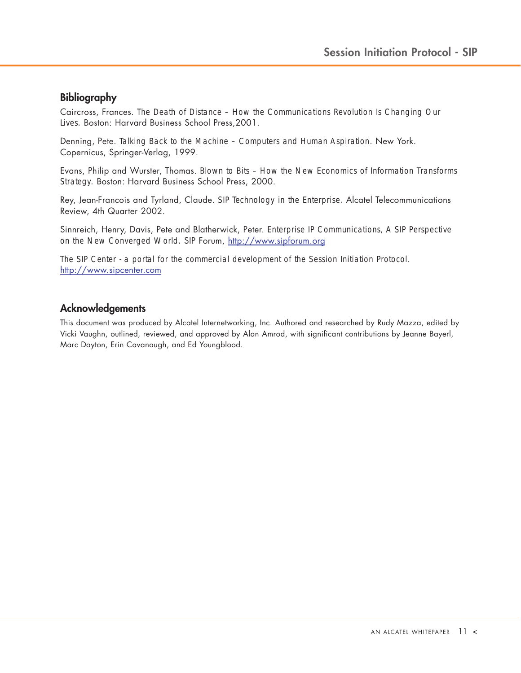# <span id="page-10-0"></span>**Bibliography**

Caircross, Frances. *The Death of Distance – How the Communications Revolution Is Changing Our Lives.* Boston: Harvard Business School Press,2001.

Denning, Pete. *Talking Back to the Machine – Computers and Human Aspiration*. New York. Copernicus, Springer-Verlag, 1999.

Evans, Philip and Wurster, Thomas. *Blown to Bits – How the New Economics of Information Transforms Strategy.* Boston: Harvard Business School Press, 2000.

Rey, Jean-Francois and Tyrland, Claude. *SIP Technology in the Enterprise.* Alcatel Telecommunications Review, 4th Quarter 2002.

Sinnreich, Henry, Davis, Pete and Blatherwick, Peter. *Enterprise IP Communications, A SIP Perspective on the New Converged World.* SIP Forum,<http://www.sipforum.org>

*The SIP Center - a portal for the commercial development of the Session Initiation Protocol*. <http://www.sipcenter.com>

# **Acknowledgements**

This document was produced by Alcatel Internetworking, Inc. Authored and researched by Rudy Mazza, edited by Vicki Vaughn, outlined, reviewed, and approved by Alan Amrod, with significant contributions by Jeanne Bayerl, Marc Dayton, Erin Cavanaugh, and Ed Youngblood.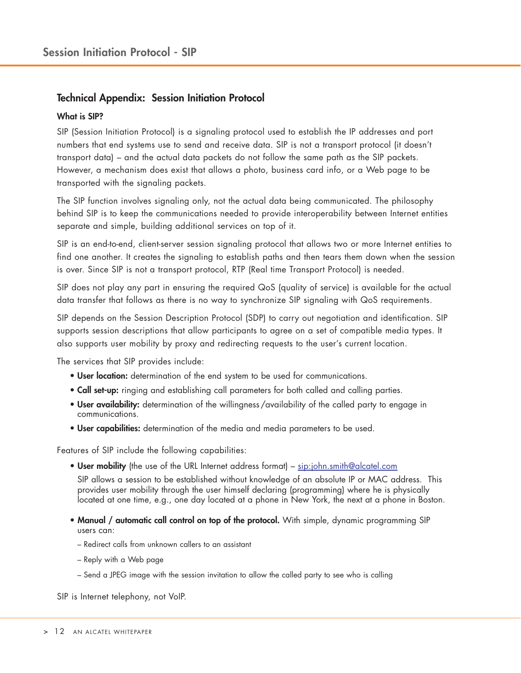# <span id="page-11-0"></span>**Technical Appendix: Session Initiation Protocol**

# **What is SIP?**

SIP (Session Initiation Protocol) is a signaling protocol used to establish the IP addresses and port numbers that end systems use to send and receive data. SIP is not a transport protocol (it doesn't transport data) – and the actual data packets do not follow the same path as the SIP packets. However, a mechanism does exist that allows a photo, business card info, or a Web page to be transported with the signaling packets.

The SIP function involves signaling only, not the actual data being communicated. The philosophy behind SIP is to keep the communications needed to provide interoperability between Internet entities separate and simple, building additional services on top of it.

SIP is an end-to-end, client-server session signaling protocol that allows two or more Internet entities to find one another. It creates the signaling to establish paths and then tears them down when the session is over. Since SIP is not a transport protocol, RTP (Real time Transport Protocol) is needed.

SIP does not play any part in ensuring the required QoS (quality of service) is available for the actual data transfer that follows as there is no way to synchronize SIP signaling with QoS requirements.

SIP depends on the Session Description Protocol (SDP) to carry out negotiation and identification. SIP supports session descriptions that allow participants to agree on a set of compatible media types. It also supports user mobility by proxy and redirecting requests to the user's current location.

The services that SIP provides include:

- **User location:** determination of the end system to be used for communications.
- **Call set-up:** ringing and establishing call parameters for both called and calling parties.
- **User availability:** determination of the willingness / availability of the called party to engage in communications.
- **User capabilities:** determination of the media and media parameters to be used.

Features of SIP include the following capabilities:

• **User mobility** (the use of the URL Internet address format) – sip:john.smith@alcatel.com

SIP allows a session to be established without knowledge of an absolute IP or MAC address. This provides user mobility through the user himself declaring (programming) where he is physically located at one time, e.g., one day located at a phone in New York, the next at a phone in Boston.

- **Manual / automatic call control on top of the protocol.** With simple, dynamic programming SIP users can:
	- Redirect calls from unknown callers to an assistant
	- Reply with a Web page
	- Send a JPEG image with the session invitation to allow the called party to see who is calling

SIP is Internet telephony, not VoIP.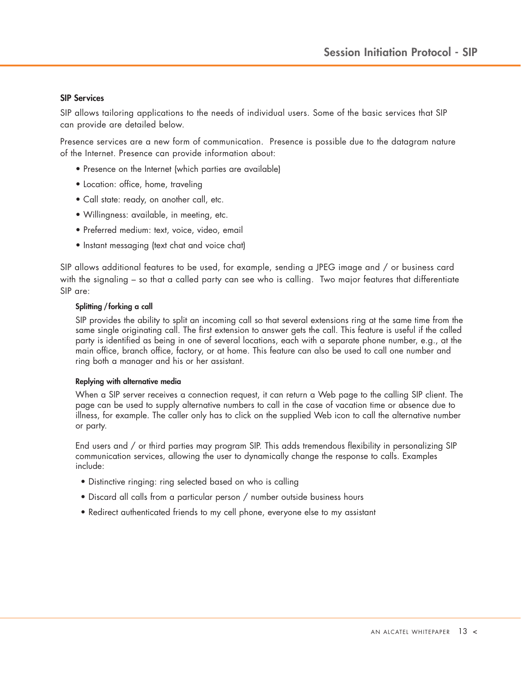#### **SIP Services**

SIP allows tailoring applications to the needs of individual users. Some of the basic services that SIP can provide are detailed below.

Presence services are a new form of communication. Presence is possible due to the datagram nature of the Internet. Presence can provide information about:

- Presence on the Internet (which parties are available)
- Location: office, home, traveling
- Call state: ready, on another call, etc.
- Willingness: available, in meeting, etc.
- Preferred medium: text, voice, video, email
- Instant messaging (text chat and voice chat)

SIP allows additional features to be used, for example, sending a JPEG image and / or business card with the signaling – so that a called party can see who is calling. Two major features that differentiate SIP are:

#### **Splitting / forking a call**

SIP provides the ability to split an incoming call so that several extensions ring at the same time from the same single originating call. The first extension to answer gets the call. This feature is useful if the called party is identified as being in one of several locations, each with a separate phone number, e.g., at the main office, branch office, factory, or at home. This feature can also be used to call one number and ring both a manager and his or her assistant.

#### **Replying with alternative media**

When a SIP server receives a connection request, it can return a Web page to the calling SIP client. The page can be used to supply alternative numbers to call in the case of vacation time or absence due to illness, for example. The caller only has to click on the supplied Web icon to call the alternative number or party.

End users and / or third parties may program SIP. This adds tremendous flexibility in personalizing SIP communication services, allowing the user to dynamically change the response to calls. Examples include:

- Distinctive ringing: ring selected based on who is calling
- Discard all calls from a particular person / number outside business hours
- Redirect authenticated friends to my cell phone, everyone else to my assistant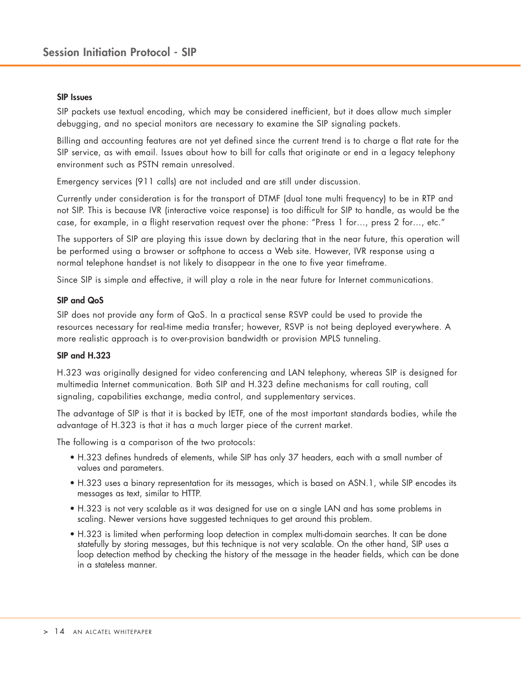#### **SIP Issues**

SIP packets use textual encoding, which may be considered inefficient, but it does allow much simpler debugging, and no special monitors are necessary to examine the SIP signaling packets.

Billing and accounting features are not yet defined since the current trend is to charge a flat rate for the SIP service, as with email. Issues about how to bill for calls that originate or end in a legacy telephony environment such as PSTN remain unresolved.

Emergency services (911 calls) are not included and are still under discussion.

Currently under consideration is for the transport of DTMF (dual tone multi frequency) to be in RTP and not SIP. This is because IVR (interactive voice response) is too difficult for SIP to handle, as would be the case, for example, in a flight reservation request over the phone: "Press 1 for…, press 2 for…, etc."

The supporters of SIP are playing this issue down by declaring that in the near future, this operation will be performed using a browser or softphone to access a Web site. However, IVR response using a normal telephone handset is not likely to disappear in the one to five year timeframe.

Since SIP is simple and effective, it will play a role in the near future for Internet communications.

#### **SIP and QoS**

SIP does not provide any form of QoS. In a practical sense RSVP could be used to provide the resources necessary for real-time media transfer; however, RSVP is not being deployed everywhere. A more realistic approach is to over-provision bandwidth or provision MPLS tunneling.

## **SIP and H.323**

H.323 was originally designed for video conferencing and LAN telephony, whereas SIP is designed for multimedia Internet communication. Both SIP and H.323 define mechanisms for call routing, call signaling, capabilities exchange, media control, and supplementary services.

The advantage of SIP is that it is backed by IETF, one of the most important standards bodies, while the advantage of H.323 is that it has a much larger piece of the current market.

The following is a comparison of the two protocols:

- H.323 defines hundreds of elements, while SIP has only 37 headers, each with a small number of values and parameters.
- H.323 uses a binary representation for its messages, which is based on ASN.1, while SIP encodes its messages as text, similar to HTTP.
- H.323 is not very scalable as it was designed for use on a single LAN and has some problems in scaling. Newer versions have suggested techniques to get around this problem.
- H.323 is limited when performing loop detection in complex multi-domain searches. It can be done statefully by storing messages, but this technique is not very scalable. On the other hand, SIP uses a loop detection method by checking the history of the message in the header fields, which can be done in a stateless manner.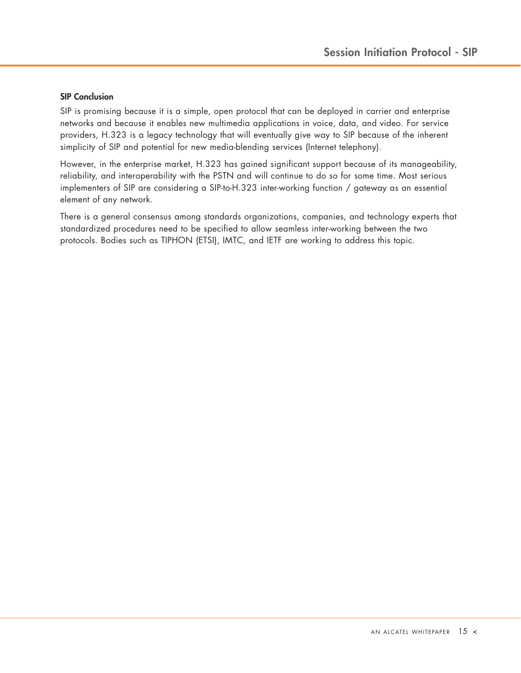### **SIP Conclusion**

SIP is promising because it is a simple, open protocol that can be deployed in carrier and enterprise networks and because it enables new multimedia applications in voice, data, and video. For service providers, H.323 is a legacy technology that will eventually give way to SIP because of the inherent simplicity of SIP and potential for new media-blending services (Internet telephony).

However, in the enterprise market, H.323 has gained significant support because of its manageability, reliability, and interoperability with the PSTN and will continue to do so for some time. Most serious implementers of SIP are considering a SIP-to-H.323 inter-working function / gateway as an essential element of any network.

There is a general consensus among standards organizations, companies, and technology experts that standardized procedures need to be specified to allow seamless inter-working between the two protocols. Bodies such as TIPHON (ETSI), IMTC, and IETF are working to address this topic.